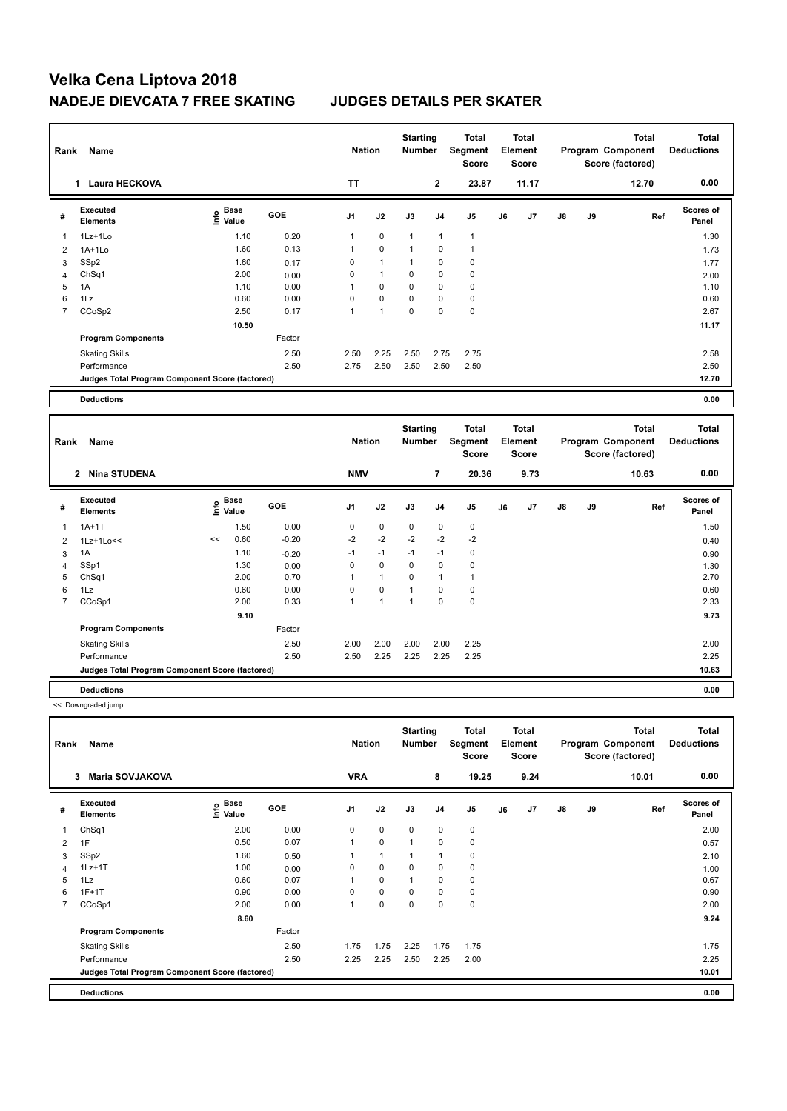| Rank           | Name                                            | <b>Nation</b>                    |        | <b>Starting</b><br>Number |                | <b>Total</b><br>Segment<br><b>Score</b> |                | <b>Total</b><br>Element<br><b>Score</b> |    |              | <b>Total</b><br>Program Component<br>Score (factored) | <b>Total</b><br><b>Deductions</b> |       |                    |
|----------------|-------------------------------------------------|----------------------------------|--------|---------------------------|----------------|-----------------------------------------|----------------|-----------------------------------------|----|--------------|-------------------------------------------------------|-----------------------------------|-------|--------------------|
|                | <b>Laura HECKOVA</b><br>1                       |                                  |        | <b>TT</b>                 |                |                                         | $\mathbf{2}$   | 23.87                                   |    | 11.17        |                                                       |                                   | 12.70 | 0.00               |
| #              | Executed<br><b>Elements</b>                     | <b>Base</b><br>e Base<br>⊆ Value | GOE    | J <sub>1</sub>            | J2             | J3                                      | J <sub>4</sub> | J <sub>5</sub>                          | J6 | J7           | $\mathsf{J}8$                                         | J9                                | Ref   | Scores of<br>Panel |
|                | 1Lz+1Lo                                         | 1.10                             | 0.20   | $\mathbf{1}$              | $\mathbf 0$    | $\mathbf{1}$                            | $\mathbf{1}$   | $\mathbf{1}$                            |    |              |                                                       |                                   |       | 1.30               |
| $\overline{2}$ | $1A+1Lo$                                        | 1.60                             | 0.13   | $\mathbf{1}$              | $\pmb{0}$      | $\mathbf{1}$                            | 0              | $\mathbf{1}$                            |    |              |                                                       |                                   |       | 1.73               |
| 3              | SSp2                                            | 1.60                             | 0.17   | 0                         | $\mathbf{1}$   | $\mathbf{1}$                            | 0              | $\mathbf 0$                             |    |              |                                                       |                                   |       | 1.77               |
| $\overline{4}$ | ChSq1                                           | 2.00                             | 0.00   | $\Omega$                  | $\overline{1}$ | $\Omega$                                | 0              | 0                                       |    |              |                                                       |                                   |       | 2.00               |
| 5              | 1A                                              | 1.10                             | 0.00   | 1                         | 0              | $\Omega$                                | 0              | $\mathbf 0$                             |    |              |                                                       |                                   |       | 1.10               |
| 6              | 1Lz                                             | 0.60                             | 0.00   | $\Omega$                  | $\mathbf 0$    | $\Omega$                                | 0              | 0                                       |    |              |                                                       |                                   |       | 0.60               |
| 7              | CCoSp2                                          | 2.50                             | 0.17   | $\mathbf{1}$              | $\overline{ }$ | $\mathbf 0$                             | $\mathbf 0$    | $\mathbf 0$                             |    |              |                                                       |                                   |       | 2.67               |
|                |                                                 | 10.50                            |        |                           |                |                                         |                |                                         |    |              |                                                       |                                   |       | 11.17              |
|                | <b>Program Components</b>                       |                                  | Factor |                           |                |                                         |                |                                         |    |              |                                                       |                                   |       |                    |
|                | <b>Skating Skills</b>                           |                                  | 2.50   | 2.50                      | 2.25           | 2.50                                    | 2.75           | 2.75                                    |    |              |                                                       |                                   |       | 2.58               |
|                | Performance                                     |                                  | 2.50   | 2.75                      | 2.50           | 2.50                                    | 2.50           | 2.50                                    |    |              |                                                       |                                   |       | 2.50               |
|                | Judges Total Program Component Score (factored) |                                  |        |                           |                |                                         |                |                                         |    |              |                                                       |                                   |       | 12.70              |
|                | <b>Deductions</b>                               |                                  |        |                           |                |                                         |                |                                         |    |              |                                                       |                                   |       | 0.00               |
|                |                                                 |                                  |        | $- - -$                   |                | <b>Starting</b><br>$\sim$ $\sim$        |                | <b>Total</b>                            |    | <b>Total</b> |                                                       |                                   | Total | Total              |

| Rank           | Name                                            |    |                                  |         | <b>Nation</b>  |             | <b>Number</b> |                | Segment<br><b>Score</b> |    | Element<br><b>Score</b> |               |    | Program Component<br>Score (factored) | <b>Deductions</b>  |  |
|----------------|-------------------------------------------------|----|----------------------------------|---------|----------------|-------------|---------------|----------------|-------------------------|----|-------------------------|---------------|----|---------------------------------------|--------------------|--|
|                | 2 Nina STUDENA                                  |    |                                  |         | <b>NMV</b>     |             |               | $\overline{7}$ | 20.36                   |    | 9.73                    |               |    | 10.63                                 | 0.00               |  |
| #              | <b>Executed</b><br>Elements                     |    | <b>Base</b><br>e Base<br>⊆ Value | GOE     | J <sub>1</sub> | J2          | J3            | J <sub>4</sub> | J <sub>5</sub>          | J6 | J7                      | $\mathsf{J}8$ | J9 | Ref                                   | Scores of<br>Panel |  |
|                | $1A+1T$                                         |    | 1.50                             | 0.00    | 0              | $\mathbf 0$ | $\Omega$      | 0              | 0                       |    |                         |               |    |                                       | 1.50               |  |
| $\overline{2}$ | $1Lz+1Lo<<$                                     | << | 0.60                             | $-0.20$ | $-2$           | $-2$        | $-2$          | $-2$           | $-2$                    |    |                         |               |    |                                       | 0.40               |  |
| 3              | 1A                                              |    | 1.10                             | $-0.20$ | $-1$           | $-1$        | $-1$          | $-1$           | $\pmb{0}$               |    |                         |               |    |                                       | 0.90               |  |
| 4              | SSp1                                            |    | 1.30                             | 0.00    | 0              | $\mathbf 0$ | 0             | 0              | $\pmb{0}$               |    |                         |               |    |                                       | 1.30               |  |
| 5              | ChSq1                                           |    | 2.00                             | 0.70    |                | 1           | $\mathbf 0$   |                | 1                       |    |                         |               |    |                                       | 2.70               |  |
| 6              | 1Lz                                             |    | 0.60                             | 0.00    | $\Omega$       | $\mathbf 0$ | 1             | $\Omega$       | $\pmb{0}$               |    |                         |               |    |                                       | 0.60               |  |
| $\overline{7}$ | CCoSp1                                          |    | 2.00                             | 0.33    | 1              | 1           | 1             | 0              | $\pmb{0}$               |    |                         |               |    |                                       | 2.33               |  |
|                |                                                 |    | 9.10                             |         |                |             |               |                |                         |    |                         |               |    |                                       | 9.73               |  |
|                | <b>Program Components</b>                       |    |                                  | Factor  |                |             |               |                |                         |    |                         |               |    |                                       |                    |  |
|                | <b>Skating Skills</b>                           |    |                                  | 2.50    | 2.00           | 2.00        | 2.00          | 2.00           | 2.25                    |    |                         |               |    |                                       | 2.00               |  |
|                | Performance                                     |    |                                  | 2.50    | 2.50           | 2.25        | 2.25          | 2.25           | 2.25                    |    |                         |               |    |                                       | 2.25               |  |
|                | Judges Total Program Component Score (factored) |    |                                  |         |                |             |               |                |                         |    |                         |               |    |                                       | 10.63              |  |
|                | <b>Deductions</b>                               |    |                                  |         |                |             |               |                |                         |    |                         |               |    |                                       | 0.00               |  |

<< Downgraded jump

| Rank           | Name                                            |                           | <b>Nation</b> |            | <b>Starting</b><br><b>Number</b> |              | <b>Total</b><br>Segment<br><b>Score</b> |             | <b>Total</b><br>Element<br><b>Score</b> |      |    | <b>Total</b><br>Program Component<br>Score (factored) | <b>Total</b><br><b>Deductions</b> |                           |
|----------------|-------------------------------------------------|---------------------------|---------------|------------|----------------------------------|--------------|-----------------------------------------|-------------|-----------------------------------------|------|----|-------------------------------------------------------|-----------------------------------|---------------------------|
|                | <b>Maria SOVJAKOVA</b><br>3                     |                           |               | <b>VRA</b> |                                  |              | 8                                       | 19.25       |                                         | 9.24 |    |                                                       | 10.01                             | 0.00                      |
| #              | Executed<br><b>Elements</b>                     | Base<br>e Base<br>E Value | <b>GOE</b>    | J1         | J2                               | J3           | J <sub>4</sub>                          | J5          | J6                                      | J7   | J8 | J9                                                    | Ref                               | <b>Scores of</b><br>Panel |
|                | ChSq1                                           | 2.00                      | 0.00          | 0          | $\mathbf 0$                      | $\mathbf 0$  | $\mathbf 0$                             | $\pmb{0}$   |                                         |      |    |                                                       |                                   | 2.00                      |
| $\overline{2}$ | 1F                                              | 0.50                      | 0.07          | 1          | $\mathbf 0$                      | $\mathbf{1}$ | $\mathbf 0$                             | $\mathbf 0$ |                                         |      |    |                                                       |                                   | 0.57                      |
| 3              | SSp2                                            | 1.60                      | 0.50          | 1          | $\mathbf{1}$                     | 1            | $\overline{1}$                          | 0           |                                         |      |    |                                                       |                                   | 2.10                      |
| 4              | $1Lz+1T$                                        | 1.00                      | 0.00          | 0          | $\mathbf 0$                      | 0            | $\mathbf 0$                             | $\pmb{0}$   |                                         |      |    |                                                       |                                   | 1.00                      |
| 5              | 1Lz                                             | 0.60                      | 0.07          |            | $\mathbf 0$                      | 1            | $\mathbf 0$                             | 0           |                                         |      |    |                                                       |                                   | 0.67                      |
| 6              | $1F+1T$                                         | 0.90                      | 0.00          | 0          | 0                                | 0            | $\mathbf 0$                             | 0           |                                         |      |    |                                                       |                                   | 0.90                      |
| $\overline{7}$ | CCoSp1                                          | 2.00                      | 0.00          | 1          | $\mathbf 0$                      | $\mathbf 0$  | $\mathbf 0$                             | $\pmb{0}$   |                                         |      |    |                                                       |                                   | 2.00                      |
|                |                                                 | 8.60                      |               |            |                                  |              |                                         |             |                                         |      |    |                                                       |                                   | 9.24                      |
|                | <b>Program Components</b>                       |                           | Factor        |            |                                  |              |                                         |             |                                         |      |    |                                                       |                                   |                           |
|                | <b>Skating Skills</b>                           |                           | 2.50          | 1.75       | 1.75                             | 2.25         | 1.75                                    | 1.75        |                                         |      |    |                                                       |                                   | 1.75                      |
|                | Performance                                     |                           | 2.50          | 2.25       | 2.25                             | 2.50         | 2.25                                    | 2.00        |                                         |      |    |                                                       |                                   | 2.25                      |
|                | Judges Total Program Component Score (factored) |                           |               |            |                                  |              |                                         |             |                                         |      |    |                                                       |                                   | 10.01                     |
|                | <b>Deductions</b>                               |                           |               |            |                                  |              |                                         |             |                                         |      |    |                                                       |                                   | 0.00                      |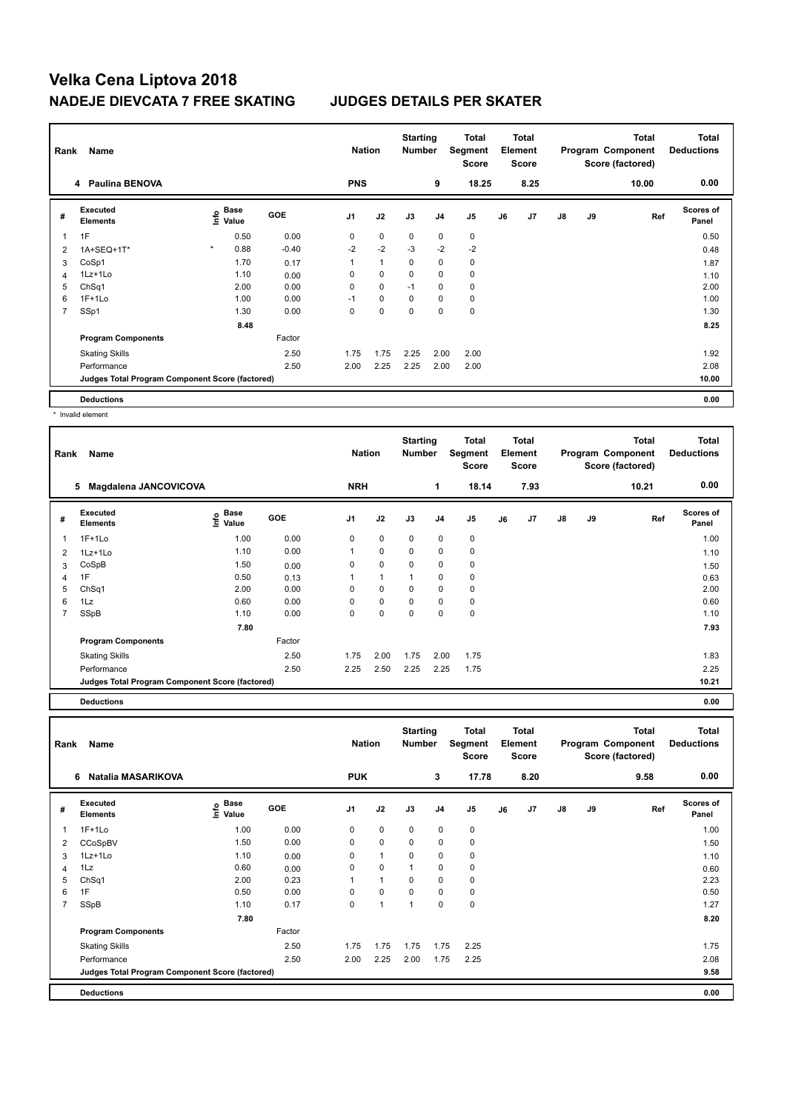| Rank | Name                                            |              |                           |         | <b>Nation</b>  |              | <b>Starting</b><br><b>Number</b> |                | <b>Total</b><br>Segment<br><b>Score</b> |    | <b>Total</b><br>Element<br><b>Score</b> |               |    | <b>Total</b><br>Program Component<br>Score (factored) | <b>Total</b><br><b>Deductions</b> |
|------|-------------------------------------------------|--------------|---------------------------|---------|----------------|--------------|----------------------------------|----------------|-----------------------------------------|----|-----------------------------------------|---------------|----|-------------------------------------------------------|-----------------------------------|
|      | 4 Paulina BENOVA                                |              |                           |         | <b>PNS</b>     |              |                                  | 9              | 18.25                                   |    | 8.25                                    |               |    | 10.00                                                 | 0.00                              |
| #    | <b>Executed</b><br><b>Elements</b>              |              | Base<br>e Base<br>⊆ Value | GOE     | J <sub>1</sub> | J2           | J3                               | J <sub>4</sub> | J5                                      | J6 | J7                                      | $\mathsf{J}8$ | J9 | Ref                                                   | <b>Scores of</b><br>Panel         |
| 1    | 1F                                              |              | 0.50                      | 0.00    | 0              | 0            | $\mathbf 0$                      | 0              | 0                                       |    |                                         |               |    |                                                       | 0.50                              |
| 2    | 1A+SEQ+1T*                                      | $\pmb{\ast}$ | 0.88                      | $-0.40$ | $-2$           | $-2$         | $-3$                             | $-2$           | $-2$                                    |    |                                         |               |    |                                                       | 0.48                              |
| 3    | CoSp1                                           |              | 1.70                      | 0.17    | 1              | $\mathbf{1}$ | 0                                | 0              | $\pmb{0}$                               |    |                                         |               |    |                                                       | 1.87                              |
| 4    | 1Lz+1Lo                                         |              | 1.10                      | 0.00    | $\Omega$       | $\mathbf 0$  | 0                                | $\mathbf 0$    | $\mathbf 0$                             |    |                                         |               |    |                                                       | 1.10                              |
| 5    | ChSq1                                           |              | 2.00                      | 0.00    | 0              | $\mathbf 0$  | $-1$                             | $\mathbf 0$    | $\pmb{0}$                               |    |                                         |               |    |                                                       | 2.00                              |
| 6    | $1F+1Lo$                                        |              | 1.00                      | 0.00    | $-1$           | 0            | 0                                | 0              | 0                                       |    |                                         |               |    |                                                       | 1.00                              |
| 7    | SSp1                                            |              | 1.30                      | 0.00    | 0              | $\mathbf 0$  | $\mathbf 0$                      | $\mathbf 0$    | $\pmb{0}$                               |    |                                         |               |    |                                                       | 1.30                              |
|      |                                                 |              | 8.48                      |         |                |              |                                  |                |                                         |    |                                         |               |    |                                                       | 8.25                              |
|      | <b>Program Components</b>                       |              |                           | Factor  |                |              |                                  |                |                                         |    |                                         |               |    |                                                       |                                   |
|      | <b>Skating Skills</b>                           |              |                           | 2.50    | 1.75           | 1.75         | 2.25                             | 2.00           | 2.00                                    |    |                                         |               |    |                                                       | 1.92                              |
|      | Performance                                     |              |                           | 2.50    | 2.00           | 2.25         | 2.25                             | 2.00           | 2.00                                    |    |                                         |               |    |                                                       | 2.08                              |
|      | Judges Total Program Component Score (factored) |              |                           |         |                |              |                                  |                |                                         |    |                                         |               |    |                                                       | 10.00                             |
|      | <b>Deductions</b>                               |              |                           |         |                |              |                                  |                |                                         |    |                                         |               |    |                                                       | 0.00                              |
|      | * Invalid element                               |              |                           |         |                |              |                                  |                |                                         |    |                                         |               |    |                                                       |                                   |

**Total Deductions Total Program Component Score (factored) Total Element Segment Score Total Score Starting Rank Name Nation Nation # Executed Elements Base Value GOE J1 J2 J3 J4 J5 J6 J7 J8 J9 Scores of Panel** 1 1.00 0.00 0 0 0 0 0 **Ref**  1F+1Lo 1.00 **Info 5 Magdalena JANCOVICOVA NRH 1 18.14 7.93 10.21 0.00** 2 1Lz+1Lo 1.10 0.00 1 0 0 0 0 1.10 3 CoSpB 1.50 0.00 0 0 0 0 0 1.50 4 1F 0.50 0.13 1 1 1 0 0 0.63 5 ChSq1 2.00 0.00 0 0 0 0 0 2.00 6 1Lz 0.60 0.00 0 0 0 0 0 0.60 7 SSpB 1.10 0.00 0 0 0 0 0 1.10  **7.80 7.93 Program Components**  Skating Skills 1.75 2.00 1.75 2.00 1.75 2.50 1.83 Factor Performance 2.50 2.25 2.50 2.25 2.25 1.75 2.25 **Judges Total Program Component Score (factored) 10.21**

**Deductions 0.00**

| Rank           | Name                                            |                                             | <b>Nation</b> |                | <b>Starting</b><br><b>Number</b> |                | <b>Total</b><br>Segment<br><b>Score</b> |                | <b>Total</b><br>Element<br><b>Score</b> |      |               | <b>Total</b><br>Program Component<br>Score (factored) | <b>Total</b><br><b>Deductions</b> |                           |
|----------------|-------------------------------------------------|---------------------------------------------|---------------|----------------|----------------------------------|----------------|-----------------------------------------|----------------|-----------------------------------------|------|---------------|-------------------------------------------------------|-----------------------------------|---------------------------|
|                | Natalia MASARIKOVA<br>6                         |                                             |               | <b>PUK</b>     |                                  |                | 3                                       | 17.78          |                                         | 8.20 |               |                                                       | 9.58                              | 0.00                      |
| #              | Executed<br><b>Elements</b>                     | <b>Base</b><br>e <sup>Base</sup><br>⊆ Value | <b>GOE</b>    | J <sub>1</sub> | J2                               | J3             | J <sub>4</sub>                          | J <sub>5</sub> | J6                                      | J7   | $\mathsf{J}8$ | J9                                                    | Ref                               | <b>Scores of</b><br>Panel |
| 1              | $1F+1Lo$                                        | 1.00                                        | 0.00          | 0              | $\mathbf 0$                      | $\mathbf 0$    | $\mathbf 0$                             | $\pmb{0}$      |                                         |      |               |                                                       |                                   | 1.00                      |
| 2              | CCoSpBV                                         | 1.50                                        | 0.00          | 0              | $\mathbf 0$                      | $\mathbf 0$    | $\mathbf 0$                             | $\pmb{0}$      |                                         |      |               |                                                       |                                   | 1.50                      |
| 3              | 1Lz+1Lo                                         | 1.10                                        | 0.00          | 0              | $\mathbf{1}$                     | 0              | 0                                       | 0              |                                         |      |               |                                                       |                                   | 1.10                      |
| 4              | 1Lz                                             | 0.60                                        | 0.00          | 0              | $\mathbf 0$                      | $\overline{1}$ | $\mathbf 0$                             | $\pmb{0}$      |                                         |      |               |                                                       |                                   | 0.60                      |
| 5              | ChSq1                                           | 2.00                                        | 0.23          |                | 1                                | 0              | 0                                       | 0              |                                         |      |               |                                                       |                                   | 2.23                      |
| 6              | 1F                                              | 0.50                                        | 0.00          | 0              | $\mathbf 0$                      | 0              | 0                                       | 0              |                                         |      |               |                                                       |                                   | 0.50                      |
| $\overline{7}$ | SSpB                                            | 1.10                                        | 0.17          | 0              | $\overline{1}$                   | $\overline{1}$ | 0                                       | $\pmb{0}$      |                                         |      |               |                                                       |                                   | 1.27                      |
|                |                                                 | 7.80                                        |               |                |                                  |                |                                         |                |                                         |      |               |                                                       |                                   | 8.20                      |
|                | <b>Program Components</b>                       |                                             | Factor        |                |                                  |                |                                         |                |                                         |      |               |                                                       |                                   |                           |
|                | <b>Skating Skills</b>                           |                                             | 2.50          | 1.75           | 1.75                             | 1.75           | 1.75                                    | 2.25           |                                         |      |               |                                                       |                                   | 1.75                      |
|                | Performance                                     |                                             | 2.50          | 2.00           | 2.25                             | 2.00           | 1.75                                    | 2.25           |                                         |      |               |                                                       |                                   | 2.08                      |
|                | Judges Total Program Component Score (factored) |                                             |               |                |                                  |                |                                         |                |                                         |      |               |                                                       |                                   | 9.58                      |
|                | <b>Deductions</b>                               |                                             |               |                |                                  |                |                                         |                |                                         |      |               |                                                       |                                   | 0.00                      |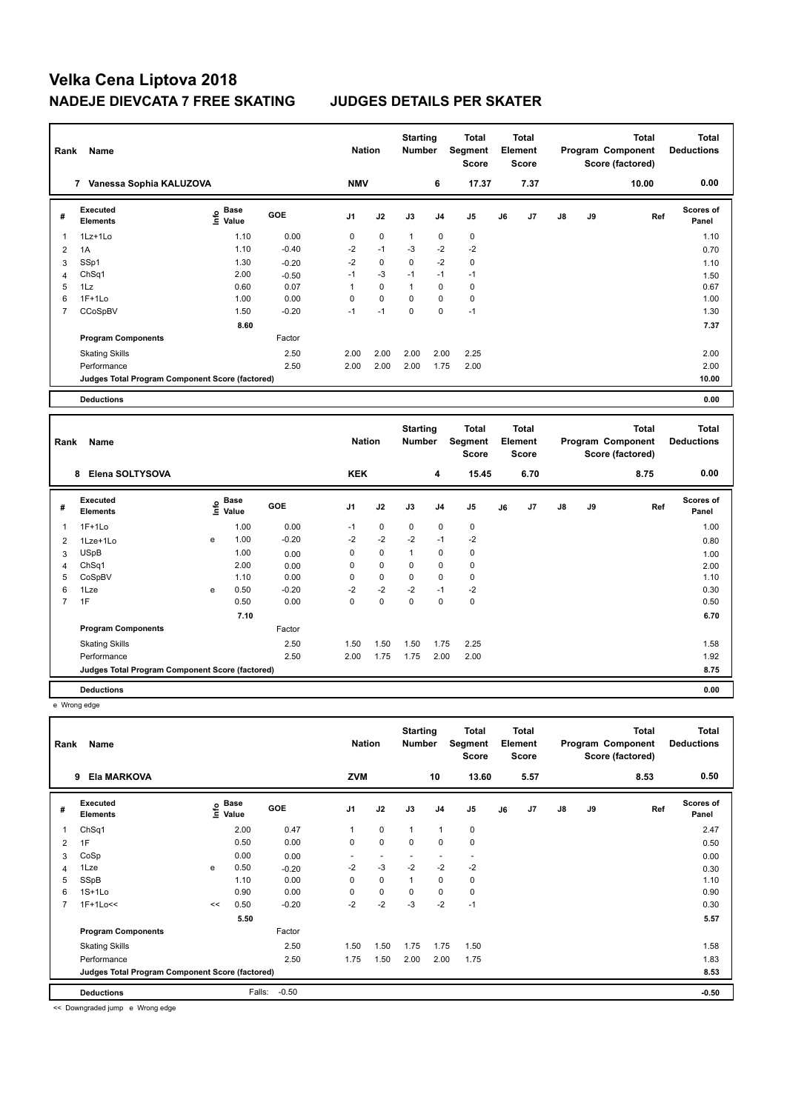| Rank           | Name                                            |                                  | <b>Nation</b> |            | <b>Starting</b><br><b>Number</b> |                 | Total<br>Segment<br><b>Score</b> |                | <b>Total</b><br>Element<br><b>Score</b> |       |               | <b>Total</b><br>Program Component<br>Score (factored) | <b>Total</b><br><b>Deductions</b> |                           |
|----------------|-------------------------------------------------|----------------------------------|---------------|------------|----------------------------------|-----------------|----------------------------------|----------------|-----------------------------------------|-------|---------------|-------------------------------------------------------|-----------------------------------|---------------------------|
|                | Vanessa Sophia KALUZOVA<br>7                    |                                  |               | <b>NMV</b> |                                  |                 | 6                                | 17.37          |                                         | 7.37  |               |                                                       | 10.00                             | 0.00                      |
| #              | Executed<br><b>Elements</b>                     | <b>Base</b><br>o Base<br>⊆ Value | <b>GOE</b>    | J1         | J2                               | J3              | J <sub>4</sub>                   | J <sub>5</sub> | J6                                      | J7    | $\mathsf{J}8$ | J9                                                    | Ref                               | <b>Scores of</b><br>Panel |
|                | $1Lz+1Lo$                                       | 1.10                             | 0.00          | 0          | $\mathbf 0$                      | $\mathbf{1}$    | 0                                | 0              |                                         |       |               |                                                       |                                   | 1.10                      |
| $\overline{2}$ | 1A                                              | 1.10                             | $-0.40$       | $-2$       | $-1$                             | $-3$            | $-2$                             | $-2$           |                                         |       |               |                                                       |                                   | 0.70                      |
| 3              | SSp1                                            | 1.30                             | $-0.20$       | $-2$       | 0                                | $\mathbf 0$     | $-2$                             | 0              |                                         |       |               |                                                       |                                   | 1.10                      |
| 4              | ChSq1                                           | 2.00                             | $-0.50$       | $-1$       | $-3$                             | $-1$            | $-1$                             | $-1$           |                                         |       |               |                                                       |                                   | 1.50                      |
| 5              | 1Lz                                             | 0.60                             | 0.07          | 1          | $\mathbf 0$                      | $\mathbf{1}$    | $\mathbf 0$                      | 0              |                                         |       |               |                                                       |                                   | 0.67                      |
| 6              | $1F+1Lo$                                        | 1.00                             | 0.00          | 0          | $\mathbf 0$                      | $\mathbf 0$     | 0                                | 0              |                                         |       |               |                                                       |                                   | 1.00                      |
| 7              | CCoSpBV                                         | 1.50                             | $-0.20$       | $-1$       | $-1$                             | $\mathbf 0$     | 0                                | $-1$           |                                         |       |               |                                                       |                                   | 1.30                      |
|                |                                                 | 8.60                             |               |            |                                  |                 |                                  |                |                                         |       |               |                                                       |                                   | 7.37                      |
|                | <b>Program Components</b>                       |                                  | Factor        |            |                                  |                 |                                  |                |                                         |       |               |                                                       |                                   |                           |
|                | <b>Skating Skills</b>                           |                                  | 2.50          | 2.00       | 2.00                             | 2.00            | 2.00                             | 2.25           |                                         |       |               |                                                       |                                   | 2.00                      |
|                | Performance                                     |                                  | 2.50          | 2.00       | 2.00                             | 2.00            | 1.75                             | 2.00           |                                         |       |               |                                                       |                                   | 2.00                      |
|                | Judges Total Program Component Score (factored) |                                  |               |            |                                  |                 |                                  |                |                                         |       |               |                                                       |                                   | 10.00                     |
|                | <b>Deductions</b>                               |                                  |               |            |                                  |                 |                                  |                |                                         |       |               |                                                       |                                   | 0.00                      |
|                |                                                 |                                  |               |            |                                  |                 |                                  |                |                                         |       |               |                                                       |                                   |                           |
|                |                                                 |                                  |               |            |                                  | <b>Starting</b> |                                  | Total          |                                         | Total |               |                                                       | <b>Total</b>                      | Total                     |

| Rank           | Name                                            |   | <b>Nation</b>                    |            | <b>Starting</b><br><b>Number</b> |             | <b>Total</b><br>Segment<br><b>Score</b> |      | <b>Total</b><br>Element<br><b>Score</b> |    |      | <b>Total</b><br>Program Component<br>Score (factored) | <b>Total</b><br><b>Deductions</b> |      |                           |  |
|----------------|-------------------------------------------------|---|----------------------------------|------------|----------------------------------|-------------|-----------------------------------------|------|-----------------------------------------|----|------|-------------------------------------------------------|-----------------------------------|------|---------------------------|--|
|                | 8 Elena SOLTYSOVA                               |   |                                  |            | <b>KEK</b>                       |             |                                         | 4    | 15.45                                   |    | 6.70 |                                                       |                                   | 8.75 | 0.00                      |  |
| #              | <b>Executed</b><br><b>Elements</b>              |   | <b>Base</b><br>e Base<br>⊆ Value | <b>GOE</b> | J1                               | J2          | J3                                      | J4   | J5                                      | J6 | J7   | $\mathsf{J}8$                                         | J9                                | Ref  | <b>Scores of</b><br>Panel |  |
| 1              | $1F+1Lo$                                        |   | 1.00                             | 0.00       | $-1$                             | $\mathbf 0$ | 0                                       | 0    | 0                                       |    |      |                                                       |                                   |      | 1.00                      |  |
| 2              | 1Lze+1Lo                                        | e | 1.00                             | $-0.20$    | $-2$                             | $-2$        | $-2$                                    | $-1$ | $-2$                                    |    |      |                                                       |                                   |      | 0.80                      |  |
| 3              | <b>USpB</b>                                     |   | 1.00                             | 0.00       | 0                                | $\pmb{0}$   | 1                                       | 0    | 0                                       |    |      |                                                       |                                   |      | 1.00                      |  |
| 4              | Ch <sub>Sq1</sub>                               |   | 2.00                             | 0.00       | 0                                | $\mathbf 0$ | 0                                       | 0    | 0                                       |    |      |                                                       |                                   |      | 2.00                      |  |
| 5              | CoSpBV                                          |   | 1.10                             | 0.00       | 0                                | $\mathbf 0$ | 0                                       | 0    | 0                                       |    |      |                                                       |                                   |      | 1.10                      |  |
| 6              | 1Lze                                            | e | 0.50                             | $-0.20$    | $-2$                             | $-2$        | $-2$                                    | $-1$ | $-2$                                    |    |      |                                                       |                                   |      | 0.30                      |  |
| $\overline{7}$ | 1F                                              |   | 0.50                             | 0.00       | 0                                | 0           | 0                                       | 0    | 0                                       |    |      |                                                       |                                   |      | 0.50                      |  |
|                |                                                 |   | 7.10                             |            |                                  |             |                                         |      |                                         |    |      |                                                       |                                   |      | 6.70                      |  |
|                | <b>Program Components</b>                       |   |                                  | Factor     |                                  |             |                                         |      |                                         |    |      |                                                       |                                   |      |                           |  |
|                | <b>Skating Skills</b>                           |   |                                  | 2.50       | 1.50                             | 1.50        | 1.50                                    | 1.75 | 2.25                                    |    |      |                                                       |                                   |      | 1.58                      |  |
|                | Performance                                     |   |                                  | 2.50       | 2.00                             | 1.75        | 1.75                                    | 2.00 | 2.00                                    |    |      |                                                       |                                   |      | 1.92                      |  |
|                | Judges Total Program Component Score (factored) |   |                                  |            |                                  |             |                                         |      |                                         |    |      |                                                       |                                   |      | 8.75                      |  |
|                | <b>Deductions</b>                               |   |                                  |            |                                  |             |                                         |      |                                         |    |      |                                                       |                                   |      | 0.00                      |  |

e Wrong edge

| Rank           | Name                                            | <b>Nation</b> |                           | <b>Starting</b><br><b>Number</b> |                | Total<br>Segment<br><b>Score</b> |             | <b>Total</b><br>Element<br><b>Score</b> |                |    | <b>Total</b><br>Program Component<br>Score (factored) | Total<br><b>Deductions</b> |    |      |                           |
|----------------|-------------------------------------------------|---------------|---------------------------|----------------------------------|----------------|----------------------------------|-------------|-----------------------------------------|----------------|----|-------------------------------------------------------|----------------------------|----|------|---------------------------|
|                | <b>Ela MARKOVA</b><br>9                         |               |                           |                                  | <b>ZVM</b>     |                                  |             | 10                                      | 13.60          |    | 5.57                                                  |                            |    | 8.53 | 0.50                      |
| #              | Executed<br><b>Elements</b>                     |               | Base<br>e Base<br>⊆ Value | <b>GOE</b>                       | J <sub>1</sub> | J2                               | J3          | J4                                      | J <sub>5</sub> | J6 | J7                                                    | $\mathsf{J}8$              | J9 | Ref  | <b>Scores of</b><br>Panel |
| 1              | ChSq1                                           |               | 2.00                      | 0.47                             | 1              | $\mathbf 0$                      | 1           | $\overline{1}$                          | $\pmb{0}$      |    |                                                       |                            |    |      | 2.47                      |
| 2              | 1F                                              |               | 0.50                      | 0.00                             | 0              | $\mathbf 0$                      | $\mathbf 0$ | $\mathbf 0$                             | $\pmb{0}$      |    |                                                       |                            |    |      | 0.50                      |
| 3              | CoSp                                            |               | 0.00                      | 0.00                             |                |                                  |             |                                         | $\overline{a}$ |    |                                                       |                            |    |      | 0.00                      |
| 4              | 1Lze                                            | e             | 0.50                      | $-0.20$                          | $-2$           | $-3$                             | $-2$        | $-2$                                    | $-2$           |    |                                                       |                            |    |      | 0.30                      |
| 5              | SSpB                                            |               | 1.10                      | 0.00                             | 0              | $\mathbf 0$                      | 1           | $\mathbf 0$                             | 0              |    |                                                       |                            |    |      | 1.10                      |
| 6              | $1S+1Lo$                                        |               | 0.90                      | 0.00                             | 0              | 0                                | 0           | 0                                       | 0              |    |                                                       |                            |    |      | 0.90                      |
| $\overline{7}$ | $1F+1Lo<<$                                      | <<            | 0.50                      | $-0.20$                          | $-2$           | $-2$                             | $-3$        | $-2$                                    | $-1$           |    |                                                       |                            |    |      | 0.30                      |
|                |                                                 |               | 5.50                      |                                  |                |                                  |             |                                         |                |    |                                                       |                            |    |      | 5.57                      |
|                | <b>Program Components</b>                       |               |                           | Factor                           |                |                                  |             |                                         |                |    |                                                       |                            |    |      |                           |
|                | <b>Skating Skills</b>                           |               |                           | 2.50                             | 1.50           | 1.50                             | 1.75        | 1.75                                    | 1.50           |    |                                                       |                            |    |      | 1.58                      |
|                | Performance                                     |               |                           | 2.50                             | 1.75           | 1.50                             | 2.00        | 2.00                                    | 1.75           |    |                                                       |                            |    |      | 1.83                      |
|                | Judges Total Program Component Score (factored) |               |                           |                                  |                |                                  |             |                                         |                |    |                                                       |                            |    |      | 8.53                      |
|                | <b>Deductions</b>                               |               | Falls:                    | $-0.50$                          |                |                                  |             |                                         |                |    |                                                       |                            |    |      | $-0.50$                   |

<< Downgraded jump e Wrong edge